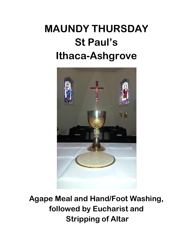# **MAUNDY THURSDAY St Paul's Ithaca-Ashgrove**



**Agape Meal and Hand/Foot Washing, followed by Eucharist and Stripping of Altar**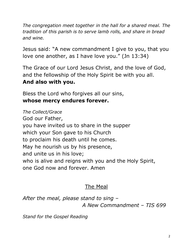*The congregation meet together in the hall for a shared meal. The tradition of this parish is to serve lamb rolls, and share in bread and wine.*

Jesus said: "A new commandment I give to you, that you love one another, as I have love you." (Jn 13:34)

The Grace of our Lord Jesus Christ, and the love of God, and the fellowship of the Holy Spirit be with you all. **And also with you.**

Bless the Lord who forgives all our sins, **whose mercy endures forever.**

*The Collect/Grace* God our Father, you have invited us to share in the supper which your Son gave to his Church to proclaim his death until he comes. May he nourish us by his presence, and unite us in his love; who is alive and reigns with you and the Holy Spirit, one God now and forever. Amen

## The Meal

*After the meal, please stand to sing – A New Commandment – TIS 699*

*Stand for the Gospel Reading*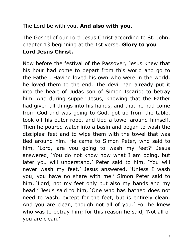The Lord be with you. **And also with you.**

The Gospel of our Lord Jesus Christ according to St. John, chapter 13 beginning at the 1st verse. **Glory to you Lord Jesus Christ.**

Now before the festival of the Passover, Jesus knew that his hour had come to depart from this world and go to the Father. Having loved his own who were in the world, he loved them to the end. The devil had already put it into the heart of Judas son of Simon Iscariot to betray him. And during supper Jesus, knowing that the Father had given all things into his hands, and that he had come from God and was going to God, got up from the table, took off his outer robe, and tied a towel around himself. Then he poured water into a basin and began to wash the disciples' feet and to wipe them with the towel that was tied around him. He came to Simon Peter, who said to him, 'Lord, are you going to wash my feet?' Jesus answered, 'You do not know now what I am doing, but later you will understand.' Peter said to him, 'You will never wash my feet.' Jesus answered, 'Unless I wash you, you have no share with me.' Simon Peter said to him, 'Lord, not my feet only but also my hands and my head!' Jesus said to him, 'One who has bathed does not need to wash, except for the feet, but is entirely clean. And you are clean, though not all of you.' For he knew who was to betray him; for this reason he said, 'Not all of you are clean.'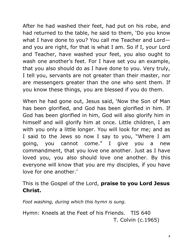After he had washed their feet, had put on his robe, and had returned to the table, he said to them, 'Do you know what I have done to you? You call me Teacher and Lord and you are right, for that is what I am. So if I, your Lord and Teacher, have washed your feet, you also ought to wash one another's feet. For I have set you an example, that you also should do as I have done to you. Very truly, I tell you, servants are not greater than their master, nor are messengers greater than the one who sent them. If you know these things, you are blessed if you do them.

When he had gone out, Jesus said, 'Now the Son of Man has been glorified, and God has been glorified in him. If God has been glorified in him, God will also glorify him in himself and will glorify him at once. Little children, I am with you only a little longer. You will look for me; and as I said to the Jews so now I say to you, "Where I am going, you cannot come." I give you a new commandment, that you love one another. Just as I have loved you, you also should love one another. By this everyone will know that you are my disciples, if you have love for one another.'

This is the Gospel of the Lord, **praise to you Lord Jesus Christ.**

*Foot washing, during which this hymn is sung.*

Hymn: Kneels at the Feet of his Friends. TIS 640 T. Colvin (c.1965)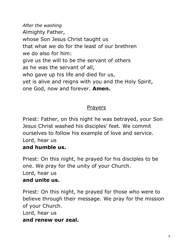*After the washing* Almighty Father, whose Son Jesus Christ taught us that what we do for the least of our brethren we do also for him: give us the will to be the servant of others as he was the servant of all, who gave up his life and died for us, yet is alive and reigns with you and the Holy Spirit, one God, now and forever. **Amen.**

#### Prayers

Priest: Father, on this night he was betrayed, your Son Jesus Christ washed his disciples' feet. We commit ourselves to follow his example of love and service. Lord, hear us

#### **and humble us.**

Priest: On this night, he prayed for his disciples to be one. We pray for the unity of your Church. Lord, hear us **and unite us.**

Priest: On this night, he prayed for those who were to believe through their message. We pray for the mission of your Church.

Lord, hear us

#### **and renew our zeal.**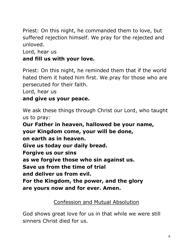Priest: On this night, he commanded them to love, but suffered rejection himself. We pray for the rejected and unloved.

Lord, hear us

#### **and fill us with your love.**

Priest: On this night, he reminded them that if the world hated them it hated him first. We pray for those who are persecuted for their faith.

Lord, hear us

#### **and give us your peace.**

We ask these things through Christ our Lord, who taught us to pray:

**Our Father in heaven, hallowed be your name, your Kingdom come, your will be done, on earth as in heaven. Give us today our daily bread. Forgive us our sins as we forgive those who sin against us. Save us from the time of trial and deliver us from evil. For the Kingdom, the power, and the glory are yours now and for ever. Amen.**

#### Confession and Mutual Absolution

God shows great love for us in that while we were still sinners Christ died for us.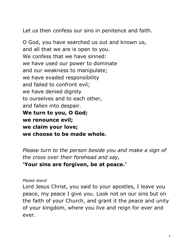Let us then confess our sins in penitence and faith.

O God, you have searched us out and known us, and all that we are is open to you. We confess that we have sinned: we have used our power to dominate and our weakness to manipulate; we have evaded responsibility and failed to confront evil; we have denied dignity to ourselves and to each other, and fallen into despair. **We turn to you, O God; we renounce evil; we claim your love; we choose to be made whole.**

*Please turn to the person beside you and make a sign of the cross over their forehead and say,* **'Your sins are forgiven, be at peace.'**

#### *Please stand*

Lord Jesus Christ, you said to your apostles, I leave you peace, my peace I give you. Look not on our sins but on the faith of your Church, and grant it the peace and unity of your kingdom, where you live and reign for ever and ever.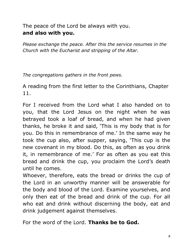#### The peace of the Lord be always with you. **and also with you.**

*Please exchange the peace. After this the service resumes in the Church with the Eucharist and stripping of the Altar.*

*The congregations gathers in the front pews.*

A reading from the first letter to the Corinthians, Chapter 11.

For I received from the Lord what I also handed on to you, that the Lord Jesus on the night when he was betrayed took a loaf of bread, and when he had given thanks, he broke it and said, 'This is my body that is for you. Do this in remembrance of me.' In the same way he took the cup also, after supper, saying, 'This cup is the new covenant in my blood. Do this, as often as you drink it, in remembrance of me.' For as often as you eat this bread and drink the cup, you proclaim the Lord's death until he comes.

Whoever, therefore, eats the bread or drinks the cup of the Lord in an unworthy manner will be answerable for the body and blood of the Lord. Examine yourselves, and only then eat of the bread and drink of the cup. For all who eat and drink without discerning the body, eat and drink judgement against themselves.

For the word of the Lord. **Thanks be to God.**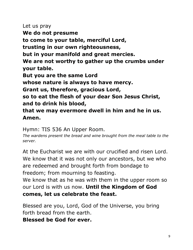Let us pray **We do not presume to come to your table, merciful Lord, trusting in our own righteousness, but in your manifold and great mercies. We are not worthy to gather up the crumbs under your table. But you are the same Lord whose nature is always to have mercy. Grant us, therefore, gracious Lord, so to eat the flesh of your dear Son Jesus Christ, and to drink his blood,**

**that we may evermore dwell in him and he in us. Amen.**

Hymn: TIS 536 An Upper Room.

*The wardens present the bread and wine brought from the meal table to the server.*

At the Eucharist we are with our crucified and risen Lord. We know that it was not only our ancestors, but we who are redeemed and brought forth from bondage to freedom; from mourning to feasting.

We know that as he was with them in the upper room so our Lord is with us now. **Until the Kingdom of God comes, let us celebrate the feast.**

Blessed are you, Lord, God of the Universe, you bring forth bread from the earth.

**Blessed be God for ever.**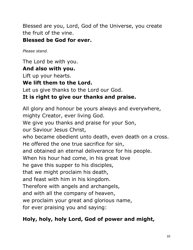Blessed are you, Lord, God of the Universe, you create the fruit of the vine.

#### **Blessed be God for ever.**

*Please stand.*

The Lord be with you.

## **And also with you.**

Lift up your hearts.

## **We lift them to the Lord.**

Let us give thanks to the Lord our God.

## **It is right to give our thanks and praise.**

All glory and honour be yours always and everywhere, mighty Creator, ever living God. We give you thanks and praise for your Son, our Saviour Jesus Christ, who became obedient unto death, even death on a cross. He offered the one true sacrifice for sin, and obtained an eternal deliverance for his people. When his hour had come, in his great love he gave this supper to his disciples, that we might proclaim his death, and feast with him in his kingdom. Therefore with angels and archangels, and with all the company of heaven, we proclaim your great and glorious name, for ever praising you and saying:

## **Holy, holy, holy Lord, God of power and might,**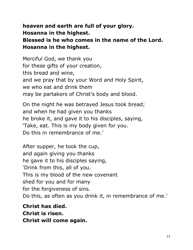#### **heaven and earth are full of your glory. Hosanna in the highest. Blessed is he who comes in the name of the Lord. Hosanna in the highest.**

Merciful God, we thank you for these gifts of your creation, this bread and wine, and we pray that by your Word and Holy Spirit, we who eat and drink them may be partakers of Christ's body and blood.

On the night he was betrayed Jesus took bread; and when he had given you thanks he broke it, and gave it to his disciples, saying, 'Take, eat. This is my body given for you. Do this in remembrance of me.'

After supper, he took the cup, and again giving you thanks he gave it to his disciples saying, 'Drink from this, all of you. This is my blood of the new covenant shed for you and for many for the forgiveness of sins. Do this, as often as you drink it, in remembrance of me.'

**Christ has died. Christ is risen. Christ will come again.**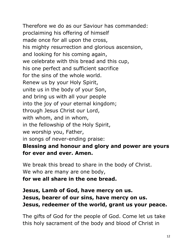Therefore we do as our Saviour has commanded: proclaiming his offering of himself made once for all upon the cross, his mighty resurrection and glorious ascension, and looking for his coming again, we celebrate with this bread and this cup, his one perfect and sufficient sacrifice for the sins of the whole world. Renew us by your Holy Spirit, unite us in the body of your Son, and bring us with all your people into the joy of your eternal kingdom; through Jesus Christ our Lord, with whom, and in whom, in the fellowship of the Holy Spirit, we worship you, Father, in songs of never-ending praise: **Blessing and honour and glory and power are yours for ever and ever. Amen.**

We break this bread to share in the body of Christ. We who are many are one body, **for we all share in the one bread.**

### **Jesus, Lamb of God, have mercy on us. Jesus, bearer of our sins, have mercy on us. Jesus, redeemer of the world, grant us your peace.**

The gifts of God for the people of God. Come let us take this holy sacrament of the body and blood of Christ in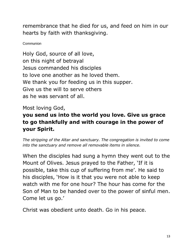remembrance that he died for us, and feed on him in our hearts by faith with thanksgiving.

Communion

Holy God, source of all love, on this night of betrayal Jesus commanded his disciples to love one another as he loved them. We thank you for feeding us in this supper. Give us the will to serve others as he was servant of all.

Most loving God,

## **you send us into the world you love. Give us grace to go thankfully and with courage in the power of your Spirit.**

*The stripping of the Altar and sanctuary. The congregation is invited to come into the sanctuary and remove all removable items in silence.*

When the disciples had sung a hymn they went out to the Mount of Olives. Jesus prayed to the Father, 'If it is possible, take this cup of suffering from me'. He said to his disciples, 'How is it that you were not able to keep watch with me for one hour? The hour has come for the Son of Man to be handed over to the power of sinful men. Come let us go.'

Christ was obedient unto death. Go in his peace.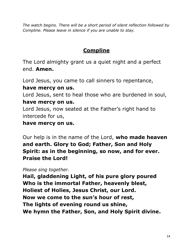*The watch begins. There will be a short period of silent reflection followed by Compline. Please leave in silence if you are unable to stay.*

## **Compline**

The Lord almighty grant us a quiet night and a perfect end. **Amen.**

Lord Jesus, you came to call sinners to repentance,

#### **have mercy on us.**

Lord Jesus, sent to heal those who are burdened in soul,

#### **have mercy on us.**

Lord Jesus, now seated at the Father's right hand to intercede for us,

#### **have mercy on us.**

Our help is in the name of the Lord, **who made heaven and earth. Glory to God; Father, Son and Holy Spirit: as in the beginning, so now, and for ever. Praise the Lord!**

#### *Please sing together.*

**Hail, gladdening Light, of his pure glory poured Who is the immortal Father, heavenly blest, Holiest of Holies, Jesus Christ, our Lord. Now we come to the sun's hour of rest, The lights of evening round us shine, We hymn the Father, Son, and Holy Spirit divine.**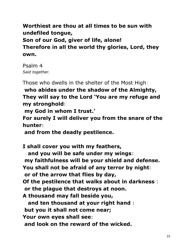**Worthiest are thou at all times to be sun with undefiled tongue, Son of our God, giver of life, alone! Therefore in all the world thy glories, Lord, they own.**

Psalm 4 *Said together.*

Those who dwells in the shelter of the Most High:

**who abides under the shadow of the Almighty, They will say to the Lord 'You are my refuge and my stronghold:**

**my God in whom I trust.'**

**For surely I will deliver you from the snare of the hunter:**

**and from the deadly pestilence.**

**I shall cover you with my feathers, and you will be safe under my wings: my faithfulness will be your shield and defense. You shall not be afraid of any terror by night: or of the arrow that flies by day, Of the pestilence that walks about in darkness : or the plague that destroys at noon. A thousand may fall beside you, and ten thousand at your right hand : but you it shall not come near; Your own eyes shall see: and look on the reward of the wicked.**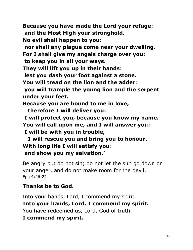**Because you have made the Lord your refuge: and the Most High your stronghold. No evil shall happen to you: nor shall any plague come near your dwelling. For I shall give my angels charge over you: to keep you in all your ways. They will lift you up in their hands: lest you dash your foot against a stone. You will tread on the lion and the adder: you will trample the young lion and the serpent under your feet. Because you are bound to me in love, therefore I will deliver you: I will protect you, because you know my name. You will call upon me, and I will answer you: I will be with you in trouble,**

 **I will rescue you and bring you to honour. With long life I will satisfy you: and show you my salvation.'**

Be angry but do not sin; do not let the sun go down on your anger, and do not make room for the devil. Eph 4:26-27

#### **Thanks be to God.**

Into your hands, Lord, I commend my spirit. **Into your hands, Lord, I commend my spirit.** You have redeemed us, Lord, God of truth. **I commend my spirit.**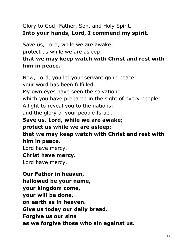## Glory to God; Father, Son, and Holy Spirit. **Into your hands, Lord, I commend my spirit.**

Save us, Lord, while we are awake;

protect us while we are asleep;

## **that we may keep watch with Christ and rest with him in peace.**

Now, Lord, you let your servant go in peace: your word has been fulfilled. My own eyes have seen the salvation: which you have prepared in the sight of every people: A light to reveal you to the nations: and the glory of your people Israel. **Save us, Lord, while we are awake; protect us while we are asleep; that we may keep watch with Christ and rest with him in peace.** Lord have mercy. **Christ have mercy.** Lord have mercy.

**Our Father in heaven, hallowed be your name, your kingdom come, your will be done, on earth as in heaven. Give us today our daily bread. Forgive us our sins as we forgive those who sin against us.**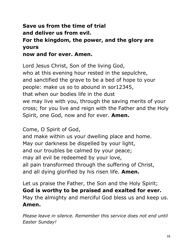#### **Save us from the time of trial and deliver us from evil. For the kingdom, the power, and the glory are yours now and for ever. Amen.**

Lord Jesus Christ, Son of the living God, who at this evening hour rested in the sepulchre, and sanctified the grave to be a bed of hope to your people: make us so to abound in sor12345, that when our bodies life in the dust we may live with you, through the saving merits of your cross; for you live and reign with the Father and the Holy Spirit, one God, now and for ever. **Amen.**

Come, O Spirit of God,

and make within us your dwelling place and home. May our darkness be dispelled by your light, and our troubles be calmed by your peace; may all evil be redeemed by your love, all pain transformed through the suffering of Christ, and all dying glorified by his risen life. **Amen.**

Let us praise the Father, the Son and the Holy Spirit; **God is worthy to be praised and exalted for ever.** May the almighty and merciful God bless us and keep us. **Amen.**

*Please leave in silence. Remember this service does not end until Easter Sunday!*